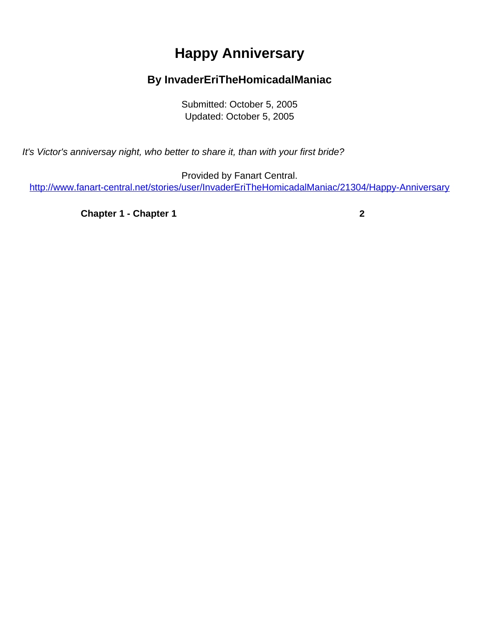## **Happy Anniversary**

## **By InvaderEriTheHomicadalManiac**

Submitted: October 5, 2005 Updated: October 5, 2005

<span id="page-0-0"></span>It's Victor's anniversay night, who better to share it, than with your first bride?

Provided by Fanart Central. [http://www.fanart-central.net/stories/user/InvaderEriTheHomicadalManiac/21304/Happy-Anniversary](#page-0-0)

**[Chapter 1 - Chapter 1](#page-1-0) [2](#page-1-0)**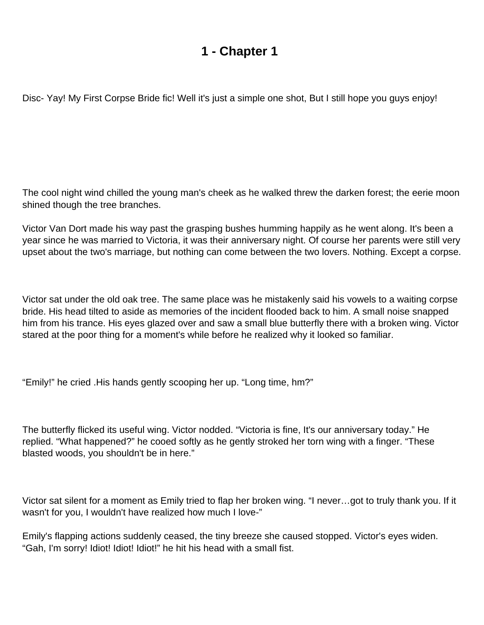## **1 - Chapter 1**

<span id="page-1-0"></span>Disc- Yay! My First Corpse Bride fic! Well it's just a simple one shot, But I still hope you guys enjoy!

The cool night wind chilled the young man's cheek as he walked threw the darken forest; the eerie moon shined though the tree branches.

Victor Van Dort made his way past the grasping bushes humming happily as he went along. It's been a year since he was married to Victoria, it was their anniversary night. Of course her parents were still very upset about the two's marriage, but nothing can come between the two lovers. Nothing. Except a corpse.

Victor sat under the old oak tree. The same place was he mistakenly said his vowels to a waiting corpse bride. His head tilted to aside as memories of the incident flooded back to him. A small noise snapped him from his trance. His eyes glazed over and saw a small blue butterfly there with a broken wing. Victor stared at the poor thing for a moment's while before he realized why it looked so familiar.

"Emily!" he cried .His hands gently scooping her up. "Long time, hm?"

The butterfly flicked its useful wing. Victor nodded. "Victoria is fine, It's our anniversary today." He replied. "What happened?" he cooed softly as he gently stroked her torn wing with a finger. "These blasted woods, you shouldn't be in here."

Victor sat silent for a moment as Emily tried to flap her broken wing. "I never…got to truly thank you. If it wasn't for you, I wouldn't have realized how much I love-"

Emily's flapping actions suddenly ceased, the tiny breeze she caused stopped. Victor's eyes widen. "Gah, I'm sorry! Idiot! Idiot! Idiot!" he hit his head with a small fist.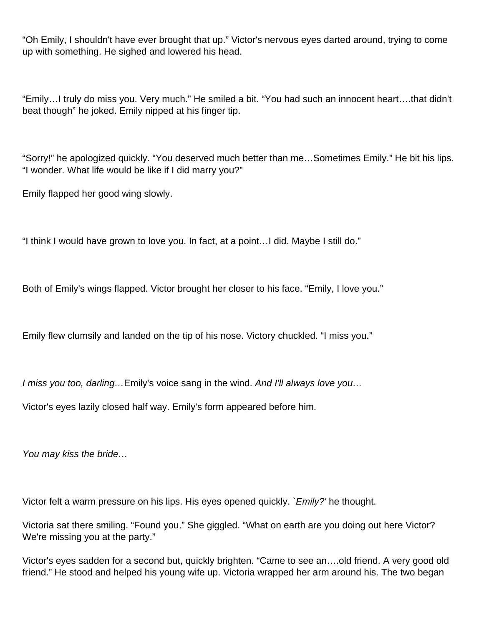"Oh Emily, I shouldn't have ever brought that up." Victor's nervous eyes darted around, trying to come up with something. He sighed and lowered his head.

"Emily…I truly do miss you. Very much." He smiled a bit. "You had such an innocent heart….that didn't beat though" he joked. Emily nipped at his finger tip.

"Sorry!" he apologized quickly. "You deserved much better than me…Sometimes Emily." He bit his lips. "I wonder. What life would be like if I did marry you?"

Emily flapped her good wing slowly.

"I think I would have grown to love you. In fact, at a point…I did. Maybe I still do."

Both of Emily's wings flapped. Victor brought her closer to his face. "Emily, I love you."

Emily flew clumsily and landed on the tip of his nose. Victory chuckled. "I miss you."

I miss you too, darling... Emily's voice sang in the wind. And I'll always love you...

Victor's eyes lazily closed half way. Emily's form appeared before him.

You may kiss the bride…

Victor felt a warm pressure on his lips. His eyes opened quickly. `Emily?' he thought.

Victoria sat there smiling. "Found you." She giggled. "What on earth are you doing out here Victor? We're missing you at the party."

Victor's eyes sadden for a second but, quickly brighten. "Came to see an….old friend. A very good old friend." He stood and helped his young wife up. Victoria wrapped her arm around his. The two began